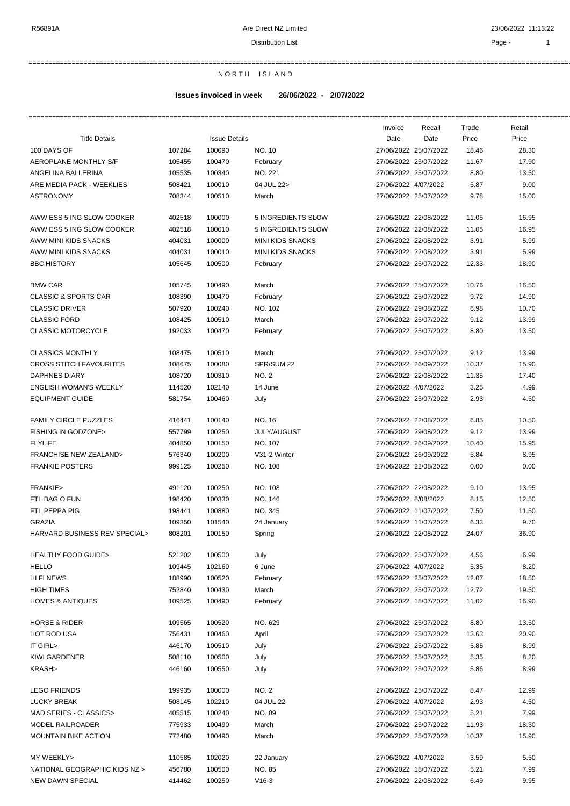Distribution List **Page - 1** 

===========================================================================================================================================================

# N O R T H I S L A N D

# **Issues invoiced in week 26/06/2022 - 2/07/2022**

|                                  |        |                      |                         | Invoice              | Recall                | Trade | Retail |
|----------------------------------|--------|----------------------|-------------------------|----------------------|-----------------------|-------|--------|
| <b>Title Details</b>             |        | <b>Issue Details</b> |                         | Date                 | Date                  | Price | Price  |
| 100 DAYS OF                      | 107284 | 100090               | NO. 10                  |                      | 27/06/2022 25/07/2022 | 18.46 | 28.30  |
| AEROPLANE MONTHLY S/F            | 105455 | 100470               | February                |                      | 27/06/2022 25/07/2022 | 11.67 | 17.90  |
| ANGELINA BALLERINA               | 105535 | 100340               | NO. 221                 |                      | 27/06/2022 25/07/2022 | 8.80  | 13.50  |
| ARE MEDIA PACK - WEEKLIES        | 508421 | 100010               | 04 JUL 22>              | 27/06/2022 4/07/2022 |                       | 5.87  | 9.00   |
| <b>ASTRONOMY</b>                 | 708344 | 100510               | March                   |                      | 27/06/2022 25/07/2022 | 9.78  | 15.00  |
|                                  |        |                      |                         |                      |                       |       |        |
| AWW ESS 5 ING SLOW COOKER        | 402518 | 100000               | 5 INGREDIENTS SLOW      |                      | 27/06/2022 22/08/2022 | 11.05 | 16.95  |
| AWW ESS 5 ING SLOW COOKER        | 402518 | 100010               | 5 INGREDIENTS SLOW      |                      | 27/06/2022 22/08/2022 | 11.05 | 16.95  |
| AWW MINI KIDS SNACKS             | 404031 | 100000               | <b>MINI KIDS SNACKS</b> |                      | 27/06/2022 22/08/2022 | 3.91  | 5.99   |
| AWW MINI KIDS SNACKS             | 404031 | 100010               | <b>MINI KIDS SNACKS</b> |                      | 27/06/2022 22/08/2022 | 3.91  | 5.99   |
| <b>BBC HISTORY</b>               | 105645 | 100500               |                         |                      | 27/06/2022 25/07/2022 | 12.33 | 18.90  |
|                                  |        |                      | February                |                      |                       |       |        |
| <b>BMW CAR</b>                   | 105745 | 100490               | March                   |                      | 27/06/2022 25/07/2022 | 10.76 | 16.50  |
| <b>CLASSIC &amp; SPORTS CAR</b>  | 108390 | 100470               | February                |                      | 27/06/2022 25/07/2022 | 9.72  | 14.90  |
| <b>CLASSIC DRIVER</b>            | 507920 | 100240               | NO. 102                 |                      | 27/06/2022 29/08/2022 | 6.98  | 10.70  |
|                                  |        |                      |                         |                      |                       |       |        |
| <b>CLASSIC FORD</b>              | 108425 | 100510               | March                   |                      | 27/06/2022 25/07/2022 | 9.12  | 13.99  |
| <b>CLASSIC MOTORCYCLE</b>        | 192033 | 100470               | February                |                      | 27/06/2022 25/07/2022 | 8.80  | 13.50  |
| <b>CLASSICS MONTHLY</b>          | 108475 | 100510               | March                   |                      | 27/06/2022 25/07/2022 | 9.12  | 13.99  |
| <b>CROSS STITCH FAVOURITES</b>   | 108675 | 100080               | SPR/SUM 22              |                      | 27/06/2022 26/09/2022 | 10.37 | 15.90  |
| <b>DAPHNES DIARY</b>             | 108720 | 100310               | <b>NO. 2</b>            |                      | 27/06/2022 22/08/2022 | 11.35 | 17.40  |
| <b>ENGLISH WOMAN'S WEEKLY</b>    | 114520 | 102140               | 14 June                 | 27/06/2022 4/07/2022 |                       | 3.25  | 4.99   |
|                                  |        |                      |                         |                      |                       |       |        |
| <b>EQUIPMENT GUIDE</b>           | 581754 | 100460               | July                    |                      | 27/06/2022 25/07/2022 | 2.93  | 4.50   |
| <b>FAMILY CIRCLE PUZZLES</b>     | 416441 | 100140               | NO. 16                  |                      | 27/06/2022 22/08/2022 | 6.85  | 10.50  |
| FISHING IN GODZONE>              | 557799 | 100250               | <b>JULY/AUGUST</b>      |                      | 27/06/2022 29/08/2022 | 9.12  | 13.99  |
| <b>FLYLIFE</b>                   | 404850 | 100150               | NO. 107                 |                      | 27/06/2022 26/09/2022 | 10.40 | 15.95  |
| <b>FRANCHISE NEW ZEALAND&gt;</b> | 576340 | 100200               | V31-2 Winter            |                      | 27/06/2022 26/09/2022 | 5.84  | 8.95   |
| <b>FRANKIE POSTERS</b>           | 999125 | 100250               | NO. 108                 |                      | 27/06/2022 22/08/2022 | 0.00  | 0.00   |
|                                  |        |                      |                         |                      |                       |       |        |
| FRANKIE>                         | 491120 | 100250               | NO. 108                 |                      | 27/06/2022 22/08/2022 | 9.10  | 13.95  |
| FTL BAG O FUN                    | 198420 | 100330               | NO. 146                 | 27/06/2022 8/08/2022 |                       | 8.15  | 12.50  |
| FTL PEPPA PIG                    | 198441 | 100880               | NO. 345                 |                      | 27/06/2022 11/07/2022 | 7.50  | 11.50  |
| <b>GRAZIA</b>                    | 109350 | 101540               | 24 January              |                      | 27/06/2022 11/07/2022 | 6.33  | 9.70   |
| HARVARD BUSINESS REV SPECIAL>    | 808201 | 100150               | Spring                  |                      | 27/06/2022 22/08/2022 | 24.07 | 36.90  |
|                                  |        |                      |                         |                      |                       |       |        |
| <b>HEALTHY FOOD GUIDE&gt;</b>    | 521202 | 100500               | July                    |                      | 27/06/2022 25/07/2022 | 4.56  | 6.99   |
| <b>HELLO</b>                     | 109445 | 102160               | 6 June                  | 27/06/2022 4/07/2022 |                       | 5.35  | 8.20   |
| HI FI NEWS                       | 188990 | 100520               | February                |                      | 27/06/2022 25/07/2022 | 12.07 | 18.50  |
| <b>HIGH TIMES</b>                | 752840 | 100430               | March                   |                      | 27/06/2022 25/07/2022 | 12.72 | 19.50  |
| <b>HOMES &amp; ANTIQUES</b>      | 109525 | 100490               | February                |                      | 27/06/2022 18/07/2022 | 11.02 | 16.90  |
|                                  |        |                      |                         |                      |                       |       |        |
| <b>HORSE &amp; RIDER</b>         | 109565 | 100520               | NO. 629                 |                      | 27/06/2022 25/07/2022 | 8.80  | 13.50  |
| <b>HOT ROD USA</b>               | 756431 | 100460               | April                   |                      | 27/06/2022 25/07/2022 | 13.63 | 20.90  |
| IT GIRL>                         | 446170 | 100510               | July                    |                      | 27/06/2022 25/07/2022 | 5.86  | 8.99   |
| KIWI GARDENER                    | 508110 | 100500               | July                    |                      | 27/06/2022 25/07/2022 | 5.35  | 8.20   |
| KRASH>                           | 446160 | 100550               | July                    |                      | 27/06/2022 25/07/2022 | 5.86  | 8.99   |
|                                  |        |                      |                         |                      |                       |       |        |
| <b>LEGO FRIENDS</b>              | 199935 | 100000               | NO. 2                   |                      | 27/06/2022 25/07/2022 | 8.47  | 12.99  |
| <b>LUCKY BREAK</b>               | 508145 | 102210               | 04 JUL 22               | 27/06/2022 4/07/2022 |                       | 2.93  | 4.50   |
| MAD SERIES - CLASSICS>           | 405515 | 100240               | NO. 89                  |                      | 27/06/2022 25/07/2022 | 5.21  | 7.99   |
| MODEL RAILROADER                 | 775933 | 100490               | March                   |                      | 27/06/2022 25/07/2022 | 11.93 | 18.30  |
| <b>MOUNTAIN BIKE ACTION</b>      | 772480 | 100490               | March                   |                      | 27/06/2022 25/07/2022 | 10.37 | 15.90  |
|                                  |        |                      |                         |                      |                       |       |        |
| MY WEEKLY>                       | 110585 | 102020               | 22 January              | 27/06/2022 4/07/2022 |                       | 3.59  | 5.50   |
| NATIONAL GEOGRAPHIC KIDS NZ >    | 456780 | 100500               | NO. 85                  |                      | 27/06/2022 18/07/2022 | 5.21  | 7.99   |
| NEW DAWN SPECIAL                 | 414462 | 100250               | $V16-3$                 |                      | 27/06/2022 22/08/2022 | 6.49  | 9.95   |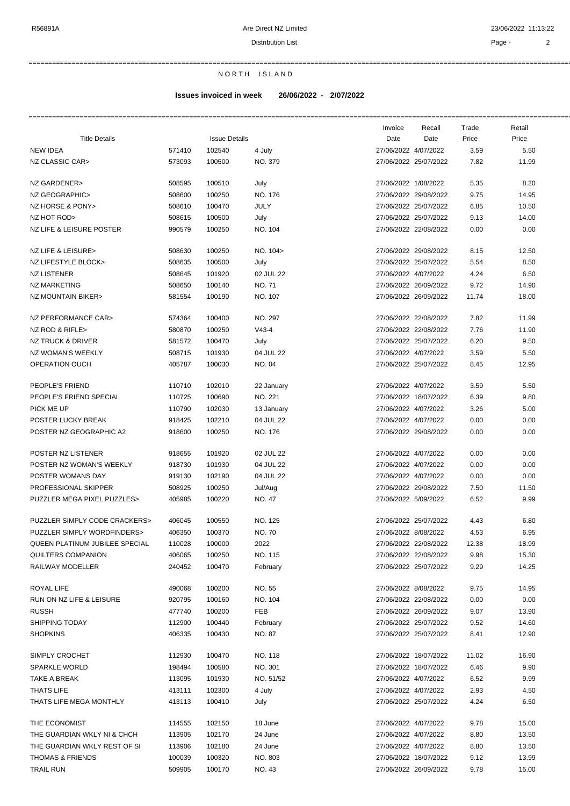===========================================================================================================================================================

N O R T H I S L A N D

### **Issues invoiced in week 26/06/2022 - 2/07/2022**

|                                |        |                      |              | Invoice              | Recall                | Trade | Retail |
|--------------------------------|--------|----------------------|--------------|----------------------|-----------------------|-------|--------|
| <b>Title Details</b>           |        | <b>Issue Details</b> |              | Date                 | Date                  | Price | Price  |
| <b>NEW IDEA</b>                | 571410 | 102540               | 4 July       | 27/06/2022 4/07/2022 |                       | 3.59  | 5.50   |
| NZ CLASSIC CAR>                | 573093 | 100500               | NO. 379      |                      | 27/06/2022 25/07/2022 | 7.82  | 11.99  |
| NZ GARDENER>                   | 508595 | 100510               | July         | 27/06/2022 1/08/2022 |                       | 5.35  | 8.20   |
| NZ GEOGRAPHIC>                 | 508600 | 100250               | NO. 176      |                      | 27/06/2022 29/08/2022 | 9.75  | 14.95  |
| NZ HORSE & PONY>               | 508610 | 100470               | JULY         |                      | 27/06/2022 25/07/2022 | 6.85  | 10.50  |
| NZ HOT ROD>                    | 508615 | 100500               | July         |                      | 27/06/2022 25/07/2022 | 9.13  | 14.00  |
| NZ LIFE & LEISURE POSTER       | 990579 | 100250               | NO. 104      |                      | 27/06/2022 22/08/2022 | 0.00  | 0.00   |
| NZ LIFE & LEISURE>             | 508630 | 100250               | NO. 104>     |                      | 27/06/2022 29/08/2022 | 8.15  | 12.50  |
| NZ LIFESTYLE BLOCK>            | 508635 | 100500               | July         |                      | 27/06/2022 25/07/2022 | 5.54  | 8.50   |
| <b>NZ LISTENER</b>             | 508645 | 101920               | 02 JUL 22    | 27/06/2022 4/07/2022 |                       | 4.24  | 6.50   |
| NZ MARKETING                   | 508650 | 100140               | <b>NO.71</b> |                      | 27/06/2022 26/09/2022 | 9.72  | 14.90  |
| NZ MOUNTAIN BIKER>             | 581554 | 100190               | NO. 107      |                      | 27/06/2022 26/09/2022 | 11.74 | 18.00  |
| <b>NZ PERFORMANCE CAR&gt;</b>  | 574364 | 100400               | NO. 297      |                      | 27/06/2022 22/08/2022 | 7.82  | 11.99  |
| NZ ROD & RIFLE>                | 580870 | 100250               | $V43-4$      |                      | 27/06/2022 22/08/2022 | 7.76  | 11.90  |
| NZ TRUCK & DRIVER              | 581572 | 100470               | July         |                      | 27/06/2022 25/07/2022 | 6.20  | 9.50   |
| NZ WOMAN'S WEEKLY              | 508715 | 101930               | 04 JUL 22    | 27/06/2022 4/07/2022 |                       | 3.59  | 5.50   |
| <b>OPERATION OUCH</b>          | 405787 | 100030               | NO. 04       |                      | 27/06/2022 25/07/2022 | 8.45  | 12.95  |
| PEOPLE'S FRIEND                | 110710 | 102010               | 22 January   | 27/06/2022 4/07/2022 |                       | 3.59  | 5.50   |
| PEOPLE'S FRIEND SPECIAL        | 110725 | 100690               | NO. 221      |                      | 27/06/2022 18/07/2022 | 6.39  | 9.80   |
| PICK ME UP                     | 110790 | 102030               | 13 January   | 27/06/2022 4/07/2022 |                       | 3.26  | 5.00   |
| POSTER LUCKY BREAK             | 918425 | 102210               | 04 JUL 22    | 27/06/2022 4/07/2022 |                       | 0.00  | 0.00   |
| POSTER NZ GEOGRAPHIC A2        | 918600 | 100250               | NO. 176      |                      | 27/06/2022 29/08/2022 | 0.00  | 0.00   |
| POSTER NZ LISTENER             | 918655 | 101920               | 02 JUL 22    | 27/06/2022 4/07/2022 |                       | 0.00  | 0.00   |
| POSTER NZ WOMAN'S WEEKLY       | 918730 | 101930               | 04 JUL 22    | 27/06/2022 4/07/2022 |                       | 0.00  | 0.00   |
| POSTER WOMANS DAY              | 919130 | 102190               | 04 JUL 22    | 27/06/2022 4/07/2022 |                       | 0.00  | 0.00   |
| PROFESSIONAL SKIPPER           | 508925 | 100250               | Jul/Aug      |                      | 27/06/2022 29/08/2022 | 7.50  | 11.50  |
| PUZZLER MEGA PIXEL PUZZLES>    | 405985 | 100220               | NO. 47       | 27/06/2022 5/09/2022 |                       | 6.52  | 9.99   |
| PUZZLER SIMPLY CODE CRACKERS>  | 406045 | 100550               | NO. 125      |                      | 27/06/2022 25/07/2022 | 4.43  | 6.80   |
| PUZZLER SIMPLY WORDFINDERS>    | 406350 | 100370               | <b>NO.70</b> | 27/06/2022 8/08/2022 |                       | 4.53  | 6.95   |
| QUEEN PLATINUM JUBILEE SPECIAL | 110028 | 100000               | 2022         |                      | 27/06/2022 22/08/2022 | 12.38 | 18.99  |
| QUILTERS COMPANION             | 406065 | 100250               | NO. 115      |                      | 27/06/2022 22/08/2022 | 9.98  | 15.30  |
| RAILWAY MODELLER               | 240452 | 100470               | February     |                      | 27/06/2022 25/07/2022 | 9.29  | 14.25  |
| ROYAL LIFE                     | 490068 | 100200               | NO. 55       | 27/06/2022 8/08/2022 |                       | 9.75  | 14.95  |
| RUN ON NZ LIFE & LEISURE       | 920795 | 100160               | NO. 104      |                      | 27/06/2022 22/08/2022 | 0.00  | 0.00   |
| <b>RUSSH</b>                   | 477740 | 100200               | <b>FEB</b>   |                      | 27/06/2022 26/09/2022 | 9.07  | 13.90  |
| SHIPPING TODAY                 | 112900 | 100440               | February     |                      | 27/06/2022 25/07/2022 | 9.52  | 14.60  |
| <b>SHOPKINS</b>                | 406335 | 100430               | NO. 87       |                      | 27/06/2022 25/07/2022 | 8.41  | 12.90  |
| SIMPLY CROCHET                 | 112930 | 100470               | NO. 118      |                      | 27/06/2022 18/07/2022 | 11.02 | 16.90  |
| <b>SPARKLE WORLD</b>           | 198494 | 100580               | NO. 301      |                      | 27/06/2022 18/07/2022 | 6.46  | 9.90   |
| TAKE A BREAK                   | 113095 | 101930               | NO. 51/52    | 27/06/2022 4/07/2022 |                       | 6.52  | 9.99   |
| THATS LIFE                     | 413111 | 102300               | 4 July       | 27/06/2022 4/07/2022 |                       | 2.93  | 4.50   |
| THATS LIFE MEGA MONTHLY        | 413113 | 100410               | July         |                      | 27/06/2022 25/07/2022 | 4.24  | 6.50   |
| THE ECONOMIST                  | 114555 | 102150               | 18 June      | 27/06/2022 4/07/2022 |                       | 9.78  | 15.00  |
| THE GUARDIAN WKLY NI & CHCH    | 113905 | 102170               | 24 June      | 27/06/2022 4/07/2022 |                       | 8.80  | 13.50  |
| THE GUARDIAN WKLY REST OF SI   | 113906 | 102180               | 24 June      | 27/06/2022 4/07/2022 |                       | 8.80  | 13.50  |
| <b>THOMAS &amp; FRIENDS</b>    | 100039 | 100320               | NO. 803      |                      | 27/06/2022 18/07/2022 | 9.12  | 13.99  |
| TRAIL RUN                      | 509905 | 100170               | NO. 43       |                      | 27/06/2022 26/09/2022 | 9.78  | 15.00  |